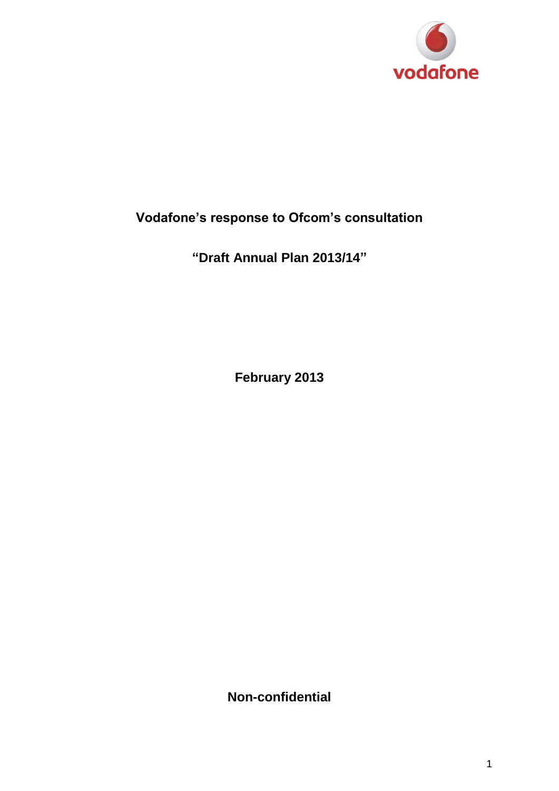

# **Vodafone's response to Ofcom's consultation**

**"Draft Annual Plan 2013/14"**

**February 2013**

**Non-confidential**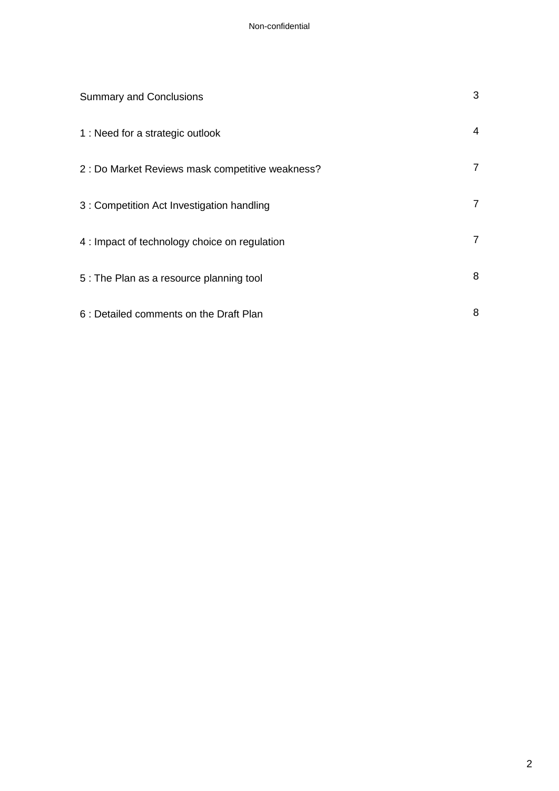| <b>Summary and Conclusions</b>                   | 3 |
|--------------------------------------------------|---|
| 1 : Need for a strategic outlook                 | 4 |
| 2 : Do Market Reviews mask competitive weakness? | 7 |
| 3 : Competition Act Investigation handling       | 7 |
| 4 : Impact of technology choice on regulation    | 7 |
| 5: The Plan as a resource planning tool          | 8 |
| 6 : Detailed comments on the Draft Plan          | 8 |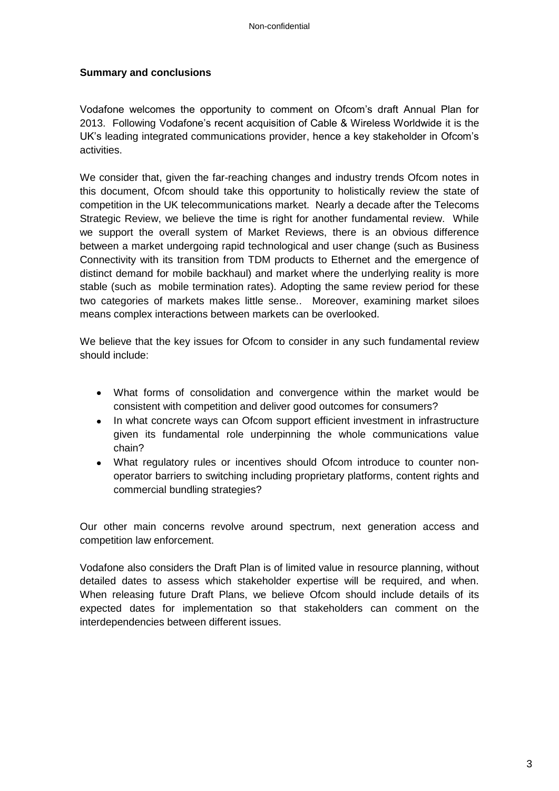#### **Summary and conclusions**

Vodafone welcomes the opportunity to comment on Ofcom's draft Annual Plan for 2013. Following Vodafone's recent acquisition of Cable & Wireless Worldwide it is the UK's leading integrated communications provider, hence a key stakeholder in Ofcom's activities.

We consider that, given the far-reaching changes and industry trends Ofcom notes in this document, Ofcom should take this opportunity to holistically review the state of competition in the UK telecommunications market. Nearly a decade after the Telecoms Strategic Review, we believe the time is right for another fundamental review. While we support the overall system of Market Reviews, there is an obvious difference between a market undergoing rapid technological and user change (such as Business Connectivity with its transition from TDM products to Ethernet and the emergence of distinct demand for mobile backhaul) and market where the underlying reality is more stable (such as mobile termination rates). Adopting the same review period for these two categories of markets makes little sense.. Moreover, examining market siloes means complex interactions between markets can be overlooked.

We believe that the key issues for Ofcom to consider in any such fundamental review should include:

- What forms of consolidation and convergence within the market would be consistent with competition and deliver good outcomes for consumers?
- In what concrete ways can Ofcom support efficient investment in infrastructure given its fundamental role underpinning the whole communications value chain?
- What regulatory rules or incentives should Ofcom introduce to counter nonoperator barriers to switching including proprietary platforms, content rights and commercial bundling strategies?

Our other main concerns revolve around spectrum, next generation access and competition law enforcement.

Vodafone also considers the Draft Plan is of limited value in resource planning, without detailed dates to assess which stakeholder expertise will be required, and when. When releasing future Draft Plans, we believe Ofcom should include details of its expected dates for implementation so that stakeholders can comment on the interdependencies between different issues.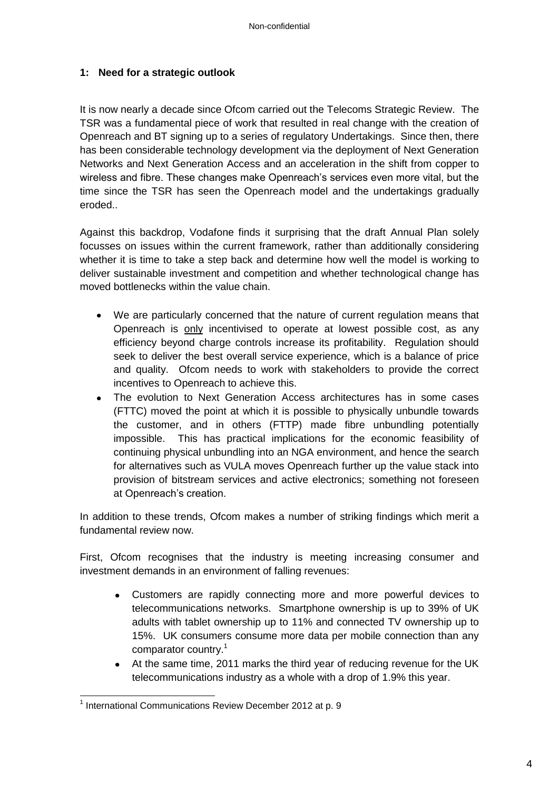## **1: Need for a strategic outlook**

It is now nearly a decade since Ofcom carried out the Telecoms Strategic Review. The TSR was a fundamental piece of work that resulted in real change with the creation of Openreach and BT signing up to a series of regulatory Undertakings. Since then, there has been considerable technology development via the deployment of Next Generation Networks and Next Generation Access and an acceleration in the shift from copper to wireless and fibre. These changes make Openreach's services even more vital, but the time since the TSR has seen the Openreach model and the undertakings gradually eroded..

Against this backdrop, Vodafone finds it surprising that the draft Annual Plan solely focusses on issues within the current framework, rather than additionally considering whether it is time to take a step back and determine how well the model is working to deliver sustainable investment and competition and whether technological change has moved bottlenecks within the value chain.

- We are particularly concerned that the nature of current regulation means that Openreach is only incentivised to operate at lowest possible cost, as any efficiency beyond charge controls increase its profitability. Regulation should seek to deliver the best overall service experience, which is a balance of price and quality. Ofcom needs to work with stakeholders to provide the correct incentives to Openreach to achieve this.
- The evolution to Next Generation Access architectures has in some cases (FTTC) moved the point at which it is possible to physically unbundle towards the customer, and in others (FTTP) made fibre unbundling potentially impossible. This has practical implications for the economic feasibility of continuing physical unbundling into an NGA environment, and hence the search for alternatives such as VULA moves Openreach further up the value stack into provision of bitstream services and active electronics; something not foreseen at Openreach's creation.

In addition to these trends, Ofcom makes a number of striking findings which merit a fundamental review now.

First, Ofcom recognises that the industry is meeting increasing consumer and investment demands in an environment of falling revenues:

- Customers are rapidly connecting more and more powerful devices to telecommunications networks. Smartphone ownership is up to 39% of UK adults with tablet ownership up to 11% and connected TV ownership up to 15%. UK consumers consume more data per mobile connection than any comparator country.<sup>1</sup>
- At the same time, 2011 marks the third year of reducing revenue for the UK  $\bullet$ telecommunications industry as a whole with a drop of 1.9% this year.

 $\overline{a}$ <sup>1</sup> International Communications Review December 2012 at p. 9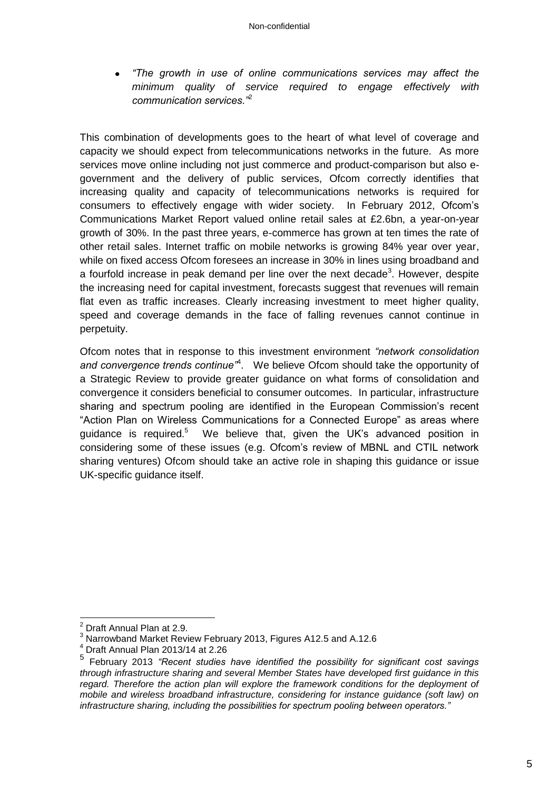*"The growth in use of online communications services may affect the minimum quality of service required to engage effectively with communication services."*<sup>2</sup>

This combination of developments goes to the heart of what level of coverage and capacity we should expect from telecommunications networks in the future. As more services move online including not just commerce and product-comparison but also egovernment and the delivery of public services, Ofcom correctly identifies that increasing quality and capacity of telecommunications networks is required for consumers to effectively engage with wider society. In February 2012, Ofcom's Communications Market Report valued online retail sales at £2.6bn, a year-on-year growth of 30%. In the past three years, e-commerce has grown at ten times the rate of other retail sales. Internet traffic on mobile networks is growing 84% year over year, while on fixed access Ofcom foresees an increase in 30% in lines using broadband and a fourfold increase in peak demand per line over the next decade<sup>3</sup>. However, despite the increasing need for capital investment, forecasts suggest that revenues will remain flat even as traffic increases. Clearly increasing investment to meet higher quality, speed and coverage demands in the face of falling revenues cannot continue in perpetuity.

Ofcom notes that in response to this investment environment *"network consolidation*  and convergence trends continue<sup>74</sup>. We believe Ofcom should take the opportunity of a Strategic Review to provide greater guidance on what forms of consolidation and convergence it considers beneficial to consumer outcomes. In particular, infrastructure sharing and spectrum pooling are identified in the European Commission's recent "Action Plan on Wireless Communications for a Connected Europe" as areas where guidance is required.<sup>5</sup> We believe that, given the UK's advanced position in considering some of these issues (e.g. Ofcom's review of MBNL and CTIL network sharing ventures) Ofcom should take an active role in shaping this guidance or issue UK-specific guidance itself.

 $\overline{\phantom{a}}$ 

 $2$  Draft Annual Plan at 2.9.

<sup>3</sup> Narrowband Market Review February 2013, Figures A12.5 and A.12.6

<sup>4</sup> Draft Annual Plan 2013/14 at 2.26

<sup>5</sup> February 2013 *"Recent studies have identified the possibility for significant cost savings through infrastructure sharing and several Member States have developed first guidance in this*  regard. Therefore the action plan will explore the framework conditions for the deployment of *mobile and wireless broadband infrastructure, considering for instance guidance (soft law) on infrastructure sharing, including the possibilities for spectrum pooling between operators."*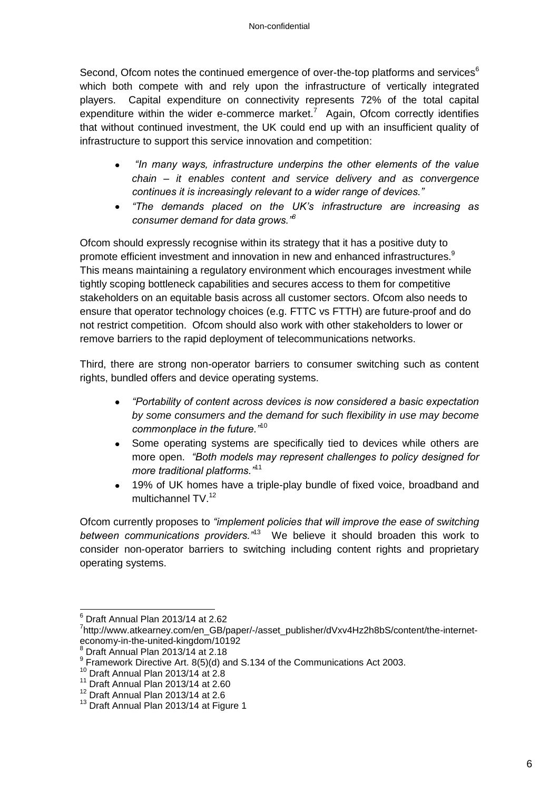Second, Ofcom notes the continued emergence of over-the-top platforms and services $6$ which both compete with and rely upon the infrastructure of vertically integrated players. Capital expenditure on connectivity represents 72% of the total capital expenditure within the wider e-commerce market.<sup>7</sup> Again, Ofcom correctly identifies that without continued investment, the UK could end up with an insufficient quality of infrastructure to support this service innovation and competition:

- *"In many ways, infrastructure underpins the other elements of the value*   $\bullet$ *chain – it enables content and service delivery and as convergence continues it is increasingly relevant to a wider range of devices."*
- *"The demands placed on the UK's infrastructure are increasing as consumer demand for data grows."<sup>8</sup>*

Ofcom should expressly recognise within its strategy that it has a positive duty to promote efficient investment and innovation in new and enhanced infrastructures.<sup>9</sup> This means maintaining a regulatory environment which encourages investment while tightly scoping bottleneck capabilities and secures access to them for competitive stakeholders on an equitable basis across all customer sectors. Ofcom also needs to ensure that operator technology choices (e.g. FTTC vs FTTH) are future-proof and do not restrict competition. Ofcom should also work with other stakeholders to lower or remove barriers to the rapid deployment of telecommunications networks.

Third, there are strong non-operator barriers to consumer switching such as content rights, bundled offers and device operating systems.

- *"Portability of content across devices is now considered a basic expectation*   $\bullet$ *by some consumers and the demand for such flexibility in use may become commonplace in the future."*<sup>10</sup>
- Some operating systems are specifically tied to devices while others are  $\bullet$ more open. *"Both models may represent challenges to policy designed for more traditional platforms."*<sup>11</sup>
- 19% of UK homes have a triple-play bundle of fixed voice, broadband and  $\bullet$ multichannel TV.<sup>12</sup>

Ofcom currently proposes to *"implement policies that will improve the ease of switching between communications providers."*<sup>13</sup> We believe it should broaden this work to consider non-operator barriers to switching including content rights and proprietary operating systems.

 $\overline{1}$ 

 $6$  Draft Annual Plan 2013/14 at 2.62

<sup>&</sup>lt;sup>7</sup>http://www.atkearney.com/en\_GB/paper/-/asset\_publisher/dVxv4Hz2h8bS/content/the-interneteconomy-in-the-united-kingdom/10192

<sup>8</sup> Draft Annual Plan 2013/14 at 2.18

 $^9$  Framework Directive Art. 8(5)(d) and S.134 of the Communications Act 2003.

 $10$  Draft Annual Plan 2013/14 at 2.8

 $11$  Draft Annual Plan 2013/14 at 2.60

 $12$  Draft Annual Plan 2013/14 at 2.6

<sup>&</sup>lt;sup>13</sup> Draft Annual Plan 2013/14 at Figure 1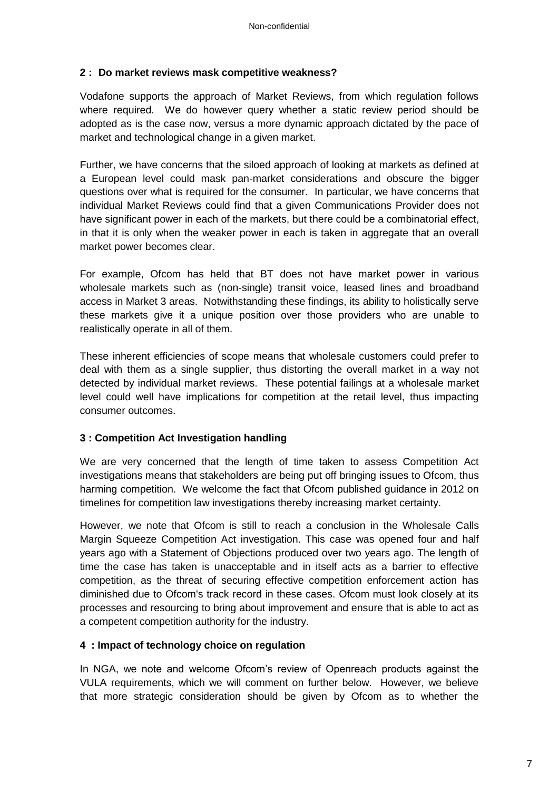## **2 : Do market reviews mask competitive weakness?**

Vodafone supports the approach of Market Reviews, from which regulation follows where required. We do however query whether a static review period should be adopted as is the case now, versus a more dynamic approach dictated by the pace of market and technological change in a given market.

Further, we have concerns that the siloed approach of looking at markets as defined at a European level could mask pan-market considerations and obscure the bigger questions over what is required for the consumer. In particular, we have concerns that individual Market Reviews could find that a given Communications Provider does not have significant power in each of the markets, but there could be a combinatorial effect, in that it is only when the weaker power in each is taken in aggregate that an overall market power becomes clear.

For example, Ofcom has held that BT does not have market power in various wholesale markets such as (non-single) transit voice, leased lines and broadband access in Market 3 areas. Notwithstanding these findings, its ability to holistically serve these markets give it a unique position over those providers who are unable to realistically operate in all of them.

These inherent efficiencies of scope means that wholesale customers could prefer to deal with them as a single supplier, thus distorting the overall market in a way not detected by individual market reviews. These potential failings at a wholesale market level could well have implications for competition at the retail level, thus impacting consumer outcomes.

#### **3 : Competition Act Investigation handling**

We are very concerned that the length of time taken to assess Competition Act investigations means that stakeholders are being put off bringing issues to Ofcom, thus harming competition. We welcome the fact that Ofcom published guidance in 2012 on timelines for competition law investigations thereby increasing market certainty.

However, we note that Ofcom is still to reach a conclusion in the Wholesale Calls Margin Squeeze Competition Act investigation. This case was opened four and half years ago with a Statement of Objections produced over two years ago. The length of time the case has taken is unacceptable and in itself acts as a barrier to effective competition, as the threat of securing effective competition enforcement action has diminished due to Ofcom's track record in these cases. Ofcom must look closely at its processes and resourcing to bring about improvement and ensure that is able to act as a competent competition authority for the industry.

#### **4 : Impact of technology choice on regulation**

In NGA, we note and welcome Ofcom's review of Openreach products against the VULA requirements, which we will comment on further below. However, we believe that more strategic consideration should be given by Ofcom as to whether the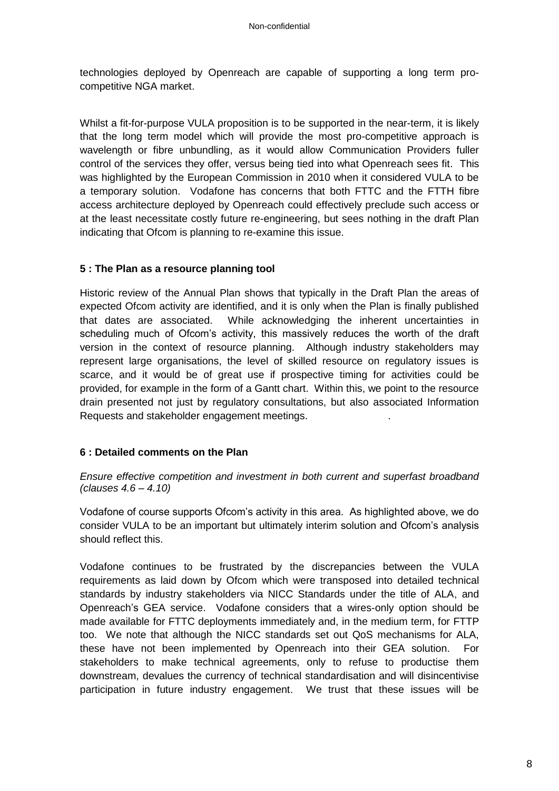technologies deployed by Openreach are capable of supporting a long term procompetitive NGA market.

Whilst a fit-for-purpose VULA proposition is to be supported in the near-term, it is likely that the long term model which will provide the most pro-competitive approach is wavelength or fibre unbundling, as it would allow Communication Providers fuller control of the services they offer, versus being tied into what Openreach sees fit. This was highlighted by the European Commission in 2010 when it considered VULA to be a temporary solution. Vodafone has concerns that both FTTC and the FTTH fibre access architecture deployed by Openreach could effectively preclude such access or at the least necessitate costly future re-engineering, but sees nothing in the draft Plan indicating that Ofcom is planning to re-examine this issue.

## **5 : The Plan as a resource planning tool**

Historic review of the Annual Plan shows that typically in the Draft Plan the areas of expected Ofcom activity are identified, and it is only when the Plan is finally published that dates are associated. While acknowledging the inherent uncertainties in scheduling much of Ofcom's activity, this massively reduces the worth of the draft version in the context of resource planning. Although industry stakeholders may represent large organisations, the level of skilled resource on regulatory issues is scarce, and it would be of great use if prospective timing for activities could be provided, for example in the form of a Gantt chart. Within this, we point to the resource drain presented not just by regulatory consultations, but also associated Information Requests and stakeholder engagement meetings. .

#### **6 : Detailed comments on the Plan**

*Ensure effective competition and investment in both current and superfast broadband (clauses 4.6 – 4.10)*

Vodafone of course supports Ofcom's activity in this area. As highlighted above, we do consider VULA to be an important but ultimately interim solution and Ofcom's analysis should reflect this.

Vodafone continues to be frustrated by the discrepancies between the VULA requirements as laid down by Ofcom which were transposed into detailed technical standards by industry stakeholders via NICC Standards under the title of ALA, and Openreach's GEA service. Vodafone considers that a wires-only option should be made available for FTTC deployments immediately and, in the medium term, for FTTP too. We note that although the NICC standards set out QoS mechanisms for ALA, these have not been implemented by Openreach into their GEA solution. For stakeholders to make technical agreements, only to refuse to productise them downstream, devalues the currency of technical standardisation and will disincentivise participation in future industry engagement. We trust that these issues will be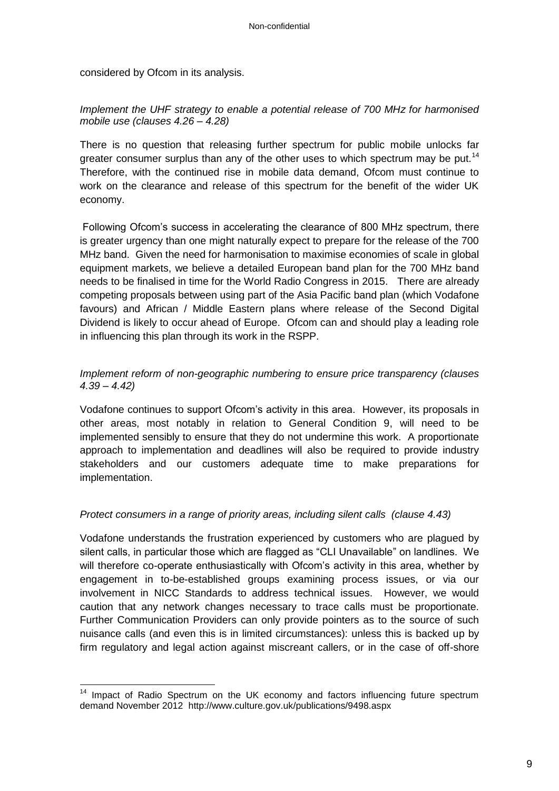considered by Ofcom in its analysis.

#### *Implement the UHF strategy to enable a potential release of 700 MHz for harmonised mobile use (clauses 4.26 – 4.28)*

There is no question that releasing further spectrum for public mobile unlocks far greater consumer surplus than any of the other uses to which spectrum may be put.<sup>14</sup> Therefore, with the continued rise in mobile data demand, Ofcom must continue to work on the clearance and release of this spectrum for the benefit of the wider UK economy.

Following Ofcom's success in accelerating the clearance of 800 MHz spectrum, there is greater urgency than one might naturally expect to prepare for the release of the 700 MHz band. Given the need for harmonisation to maximise economies of scale in global equipment markets, we believe a detailed European band plan for the 700 MHz band needs to be finalised in time for the World Radio Congress in 2015. There are already competing proposals between using part of the Asia Pacific band plan (which Vodafone favours) and African / Middle Eastern plans where release of the Second Digital Dividend is likely to occur ahead of Europe. Ofcom can and should play a leading role in influencing this plan through its work in the RSPP.

## *Implement reform of non-geographic numbering to ensure price transparency (clauses 4.39 – 4.42)*

Vodafone continues to support Ofcom's activity in this area. However, its proposals in other areas, most notably in relation to General Condition 9, will need to be implemented sensibly to ensure that they do not undermine this work. A proportionate approach to implementation and deadlines will also be required to provide industry stakeholders and our customers adequate time to make preparations for implementation.

#### *Protect consumers in a range of priority areas, including silent calls (clause 4.43)*

Vodafone understands the frustration experienced by customers who are plagued by silent calls, in particular those which are flagged as "CLI Unavailable" on landlines. We will therefore co-operate enthusiastically with Ofcom's activity in this area, whether by engagement in to-be-established groups examining process issues, or via our involvement in NICC Standards to address technical issues. However, we would caution that any network changes necessary to trace calls must be proportionate. Further Communication Providers can only provide pointers as to the source of such nuisance calls (and even this is in limited circumstances): unless this is backed up by firm regulatory and legal action against miscreant callers, or in the case of off-shore

 $\overline{\phantom{a}}$  $14$  Impact of Radio Spectrum on the UK economy and factors influencing future spectrum demand November 2012 http://www.culture.gov.uk/publications/9498.aspx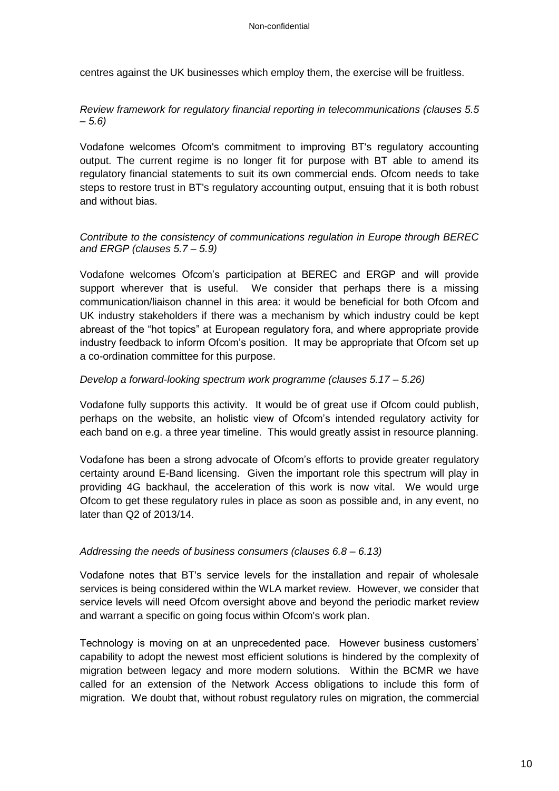centres against the UK businesses which employ them, the exercise will be fruitless.

## *Review framework for regulatory financial reporting in telecommunications (clauses 5.5 – 5.6)*

Vodafone welcomes Ofcom's commitment to improving BT's regulatory accounting output. The current regime is no longer fit for purpose with BT able to amend its regulatory financial statements to suit its own commercial ends. Ofcom needs to take steps to restore trust in BT's regulatory accounting output, ensuing that it is both robust and without bias.

## *Contribute to the consistency of communications regulation in Europe through BEREC and ERGP (clauses 5.7 – 5.9)*

Vodafone welcomes Ofcom's participation at BEREC and ERGP and will provide support wherever that is useful. We consider that perhaps there is a missing communication/liaison channel in this area: it would be beneficial for both Ofcom and UK industry stakeholders if there was a mechanism by which industry could be kept abreast of the "hot topics" at European regulatory fora, and where appropriate provide industry feedback to inform Ofcom's position. It may be appropriate that Ofcom set up a co-ordination committee for this purpose.

## *Develop a forward-looking spectrum work programme (clauses 5.17 – 5.26)*

Vodafone fully supports this activity. It would be of great use if Ofcom could publish, perhaps on the website, an holistic view of Ofcom's intended regulatory activity for each band on e.g. a three year timeline. This would greatly assist in resource planning.

Vodafone has been a strong advocate of Ofcom's efforts to provide greater regulatory certainty around E-Band licensing. Given the important role this spectrum will play in providing 4G backhaul, the acceleration of this work is now vital. We would urge Ofcom to get these regulatory rules in place as soon as possible and, in any event, no later than Q2 of 2013/14.

## *Addressing the needs of business consumers (clauses 6.8 – 6.13)*

Vodafone notes that BT's service levels for the installation and repair of wholesale services is being considered within the WLA market review. However, we consider that service levels will need Ofcom oversight above and beyond the periodic market review and warrant a specific on going focus within Ofcom's work plan.

Technology is moving on at an unprecedented pace. However business customers' capability to adopt the newest most efficient solutions is hindered by the complexity of migration between legacy and more modern solutions. Within the BCMR we have called for an extension of the Network Access obligations to include this form of migration. We doubt that, without robust regulatory rules on migration, the commercial